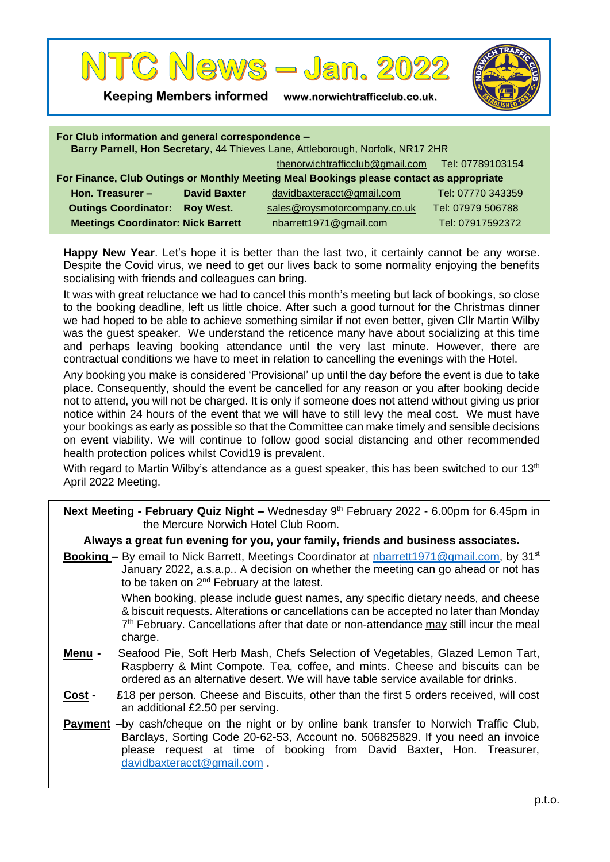

**Keeping Members informed www.norwichtrafficclub.co.uk.**



| For Club information and general correspondence -<br>Barry Parnell, Hon Secretary, 44 Thieves Lane, Attleborough, Norfolk, NR17 2HR |                     |                                                  |                   |  |
|-------------------------------------------------------------------------------------------------------------------------------------|---------------------|--------------------------------------------------|-------------------|--|
|                                                                                                                                     |                     | thenorwichtrafficclub@gmail.com Tel: 07789103154 |                   |  |
| For Finance, Club Outings or Monthly Meeting Meal Bookings please contact as appropriate                                            |                     |                                                  |                   |  |
| Hon. Treasurer -                                                                                                                    | <b>David Baxter</b> | davidbaxteracct@gmail.com                        | Tel: 07770 343359 |  |
| <b>Outings Coordinator:</b>                                                                                                         | <b>Roy West.</b>    | sales@roysmotorcompany.co.uk                     | Tel: 07979 506788 |  |
| <b>Meetings Coordinator: Nick Barrett</b>                                                                                           |                     | nbarrett1971@gmail.com                           | Tel: 07917592372  |  |

**Happy New Year**. Let's hope it is better than the last two, it certainly cannot be any worse. Despite the Covid virus, we need to get our lives back to some normality enjoying the benefits socialising with friends and colleagues can bring.

It was with great reluctance we had to cancel this month's meeting but lack of bookings, so close to the booking deadline, left us little choice. After such a good turnout for the Christmas dinner we had hoped to be able to achieve something similar if not even better, given Cllr Martin Wilby was the guest speaker. We understand the reticence many have about socializing at this time and perhaps leaving booking attendance until the very last minute. However, there are contractual conditions we have to meet in relation to cancelling the evenings with the Hotel.

Any booking you make is considered 'Provisional' up until the day before the event is due to take place. Consequently, should the event be cancelled for any reason or you after booking decide not to attend, you will not be charged. It is only if someone does not attend without giving us prior notice within 24 hours of the event that we will have to still levy the meal cost. We must have your bookings as early as possible so that the Committee can make timely and sensible decisions on event viability. We will continue to follow good social distancing and other recommended health protection polices whilst Covid19 is prevalent.

With regard to Martin Wilby's attendance as a quest speaker, this has been switched to our 13<sup>th</sup> April 2022 Meeting.

| <b>Next Meeting - February Quiz Night –</b> Wednesday 9 <sup>th</sup> February 2022 - 6.00pm for 6.45pm in |  |
|------------------------------------------------------------------------------------------------------------|--|
| the Mercure Norwich Hotel Club Room.                                                                       |  |

#### **Always a great fun evening for you, your family, friends and business associates.**

**Booking –** By email to Nick Barrett, Meetings Coordinator at [nbarrett1971@gmail.com,](mailto:nbarrett1971@gmail.com) by 31<sup>st</sup> January 2022, a.s.a.p.. A decision on whether the meeting can go ahead or not has to be taken on 2<sup>nd</sup> February at the latest.

> When booking, please include guest names, any specific dietary needs, and cheese & biscuit requests. Alterations or cancellations can be accepted no later than Monday 7<sup>th</sup> February. Cancellations after that date or non-attendance may still incur the meal charge.

- **Menu** Seafood Pie, Soft Herb Mash, Chefs Selection of Vegetables, Glazed Lemon Tart, Raspberry & Mint Compote. Tea, coffee, and mints. Cheese and biscuits can be ordered as an alternative desert. We will have table service available for drinks.
- **Cost £**18 per person. Cheese and Biscuits, other than the first 5 orders received, will cost an additional £2.50 per serving.
- **Payment** –by cash/cheque on the night or by online bank transfer to Norwich Traffic Club, Barclays, Sorting Code 20-62-53, Account no. 506825829. If you need an invoice please request at time of booking from David Baxter, Hon. Treasurer, [davidbaxteracct@gmail.com](mailto:davidbaxteracct@gmail.com) .